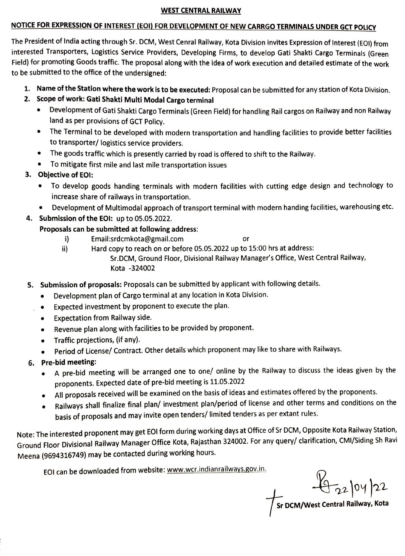## WEST CENTRAL RAILWAY

## NOTICE FOR EXPRESSION OF INTEREST (EOI) FOR DEVELOPMENT OF NEW CARRGO TERMINALS UNDER GCT POLICY

The President of India acting through Sr. DCM, West Cenral Railway, Kota Division invites Expression of Interest (EOI) from interested Transporters, Logistics Service Providers, Developing Firms, to develop Gati Shakti Cargo Terminals (Green Field) for promoting Goods traffic. The proposal along with the idea of work execution and detailed estimate of the work to be submitted to the office of the undersigned:

- 1. Name of the Station where the work is to be executed: Proposal can be submitted for any station of Kota Division.
- 2. Scope of work: Gati Shakti Multi Modal Cargo terminal
	- Development of Gati Shakti Cargo Terminals (Green Field) for handling Rail cargos on Railway and non Railway land as per provisions of GCT Policy.
	- The Terminal to be developed with modern transportation and handling facilities to provide better facilities to transporter/ logistics service providers.
	- The goods traffic which is presently carried by road is offered to shift to the Railway.
	- To mitigate first mile and last mile transportation issues
- 3. Objective of EOl:
	- To develop goods handing terminals with modern facilities with cutting edge design and technology to increase share of railways in transportation.
	- Development of Multimodal approach of transport terminal with modern handing facilities, warehousing etc.
- 4. Submission of the EOl: up to 05.05.2022.

## Proposals can be submitted at following address:

- $\mathbf{i}$ Email:srdcmkota@gmail.com
- Hard copy to reach on or before 05.05.2022 up to 15:00 hrs at address: Sr.DCM, Ground Floor, Divisional Railway Manager's Office, West Central Railway, i) Kota-324002

or

- 5. Submission of proposals: Proposals can be submitted by applicant with following details.
	- Development plan of Cargo terminal at any location in Kota Division.  $\bullet$
	- Expected investment by proponent to execute the plan.  $\bullet$
	- Expectation from Railway side.  $\bullet$
	- Revenue plan along with facilities to be provided by proponent.  $\bullet$
	- Traffic projections, (if any).  $\bullet$
	- Period of License/ Contract. Other details which proponent may like to share with Railways.
- 6. Pre-bid meeting:
	- A pre-bid meeting will be arranged one to one/ online by the Railway to discuss the ideas given by the  $\bullet$ proponents. Expected date of pre-bid meeting is 11.05.2022
	- All proposals received will be examined on the basis of ideas and estimates offered by the proponents.
	- Railways shall finalize final plan/ investment plan/period of license and other terms and conditions on the  $\bullet$ basis of proposals and may invite open tenders/ limited tenders as per extant rules.

Note: The interested proponent may get EOI form during working days at Office of Sr DCM, Opposite Kota Railway Station, Ground Floor Divisional Railway Manager Office Kota, Rajasthan 324002. For any query/ clarification, CMI/Siding Sh Ravi Meena (9694316749) may be contacted during working hours.

EOI can be downloaded from website: www.wcr.indianrailways.gov.in.

 $4220422$ 

Sr DCM/West Central Railway, Kota